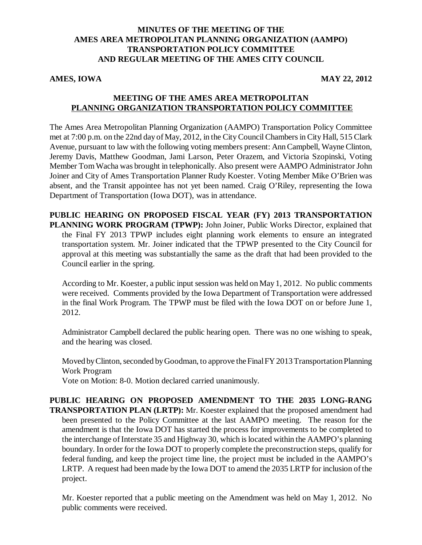## **MINUTES OF THE MEETING OF THE AMES AREA METROPOLITAN PLANNING ORGANIZATION (AAMPO) TRANSPORTATION POLICY COMMITTEE AND REGULAR MEETING OF THE AMES CITY COUNCIL**

#### **AMES, IOWA** MAY 22, 2012

## **MEETING OF THE AMES AREA METROPOLITAN PLANNING ORGANIZATION TRANSPORTATION POLICY COMMITTEE**

The Ames Area Metropolitan Planning Organization (AAMPO) Transportation Policy Committee met at 7:00 p.m. on the 22nd day of May, 2012, in the City Council Chambers in City Hall, 515 Clark Avenue, pursuant to law with the following voting members present: Ann Campbell, Wayne Clinton, Jeremy Davis, Matthew Goodman, Jami Larson, Peter Orazem, and Victoria Szopinski, Voting Member Tom Wacha was brought in telephonically. Also present were AAMPO Administrator John Joiner and City of Ames Transportation Planner Rudy Koester. Voting Member Mike O'Brien was absent, and the Transit appointee has not yet been named. Craig O'Riley, representing the Iowa Department of Transportation (Iowa DOT), was in attendance.

**PUBLIC HEARING ON PROPOSED FISCAL YEAR (FY) 2013 TRANSPORTATION PLANNING WORK PROGRAM (TPWP):** John Joiner, Public Works Director, explained that the Final FY 2013 TPWP includes eight planning work elements to ensure an integrated transportation system. Mr. Joiner indicated that the TPWP presented to the City Council for approval at this meeting was substantially the same as the draft that had been provided to the Council earlier in the spring.

According to Mr. Koester, a public input session was held on May 1, 2012. No public comments were received. Comments provided by the Iowa Department of Transportation were addressed in the final Work Program. The TPWP must be filed with the Iowa DOT on or before June 1, 2012.

Administrator Campbell declared the public hearing open. There was no one wishing to speak, and the hearing was closed.

Moved by Clinton, seconded by Goodman, to approve the Final FY 2013 Transportation Planning Work Program Vote on Motion: 8-0. Motion declared carried unanimously.

**PUBLIC HEARING ON PROPOSED AMENDMENT TO THE 2035 LONG-RANG TRANSPORTATION PLAN (LRTP):** Mr. Koester explained that the proposed amendment had been presented to the Policy Committee at the last AAMPO meeting. The reason for the amendment is that the Iowa DOT has started the process for improvements to be completed to the interchange of Interstate 35 and Highway 30, which is located within the AAMPO's planning boundary. In order for the Iowa DOT to properly complete the preconstruction steps, qualify for federal funding, and keep the project time line, the project must be included in the AAMPO's LRTP. A request had been made by the Iowa DOT to amend the 2035 LRTP for inclusion of the project.

Mr. Koester reported that a public meeting on the Amendment was held on May 1, 2012. No public comments were received.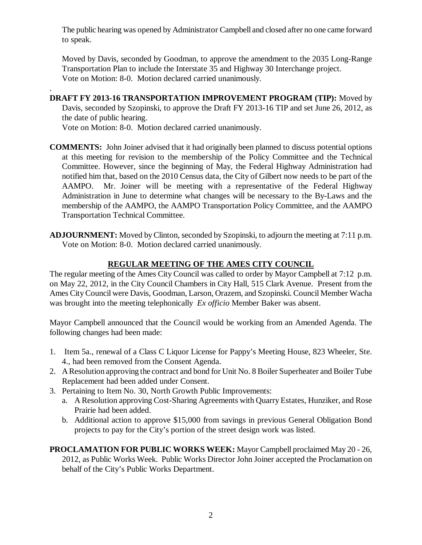The public hearing was opened by Administrator Campbell and closed after no one came forward to speak.

Moved by Davis, seconded by Goodman, to approve the amendment to the 2035 Long-Range Transportation Plan to include the Interstate 35 and Highway 30 Interchange project. Vote on Motion: 8-0. Motion declared carried unanimously.

**DRAFT FY 2013-16 TRANSPORTATION IMPROVEMENT PROGRAM (TIP):** Moved by Davis, seconded by Szopinski, to approve the Draft FY 2013-16 TIP and set June 26, 2012, as the date of public hearing.

Vote on Motion: 8-0. Motion declared carried unanimously.

.

- **COMMENTS:** John Joiner advised that it had originally been planned to discuss potential options at this meeting for revision to the membership of the Policy Committee and the Technical Committee. However, since the beginning of May, the Federal Highway Administration had notified him that, based on the 2010 Census data, the City of Gilbert now needs to be part of the AAMPO. Mr. Joiner will be meeting with a representative of the Federal Highway Administration in June to determine what changes will be necessary to the By-Laws and the membership of the AAMPO, the AAMPO Transportation Policy Committee, and the AAMPO Transportation Technical Committee.
- **ADJOURNMENT:** Moved by Clinton, seconded by Szopinski, to adjourn the meeting at 7:11 p.m. Vote on Motion: 8-0. Motion declared carried unanimously.

# **REGULAR MEETING OF THE AMES CITY COUNCIL**

The regular meeting of the Ames City Council was called to order by Mayor Campbell at 7:12 p.m. on May 22, 2012, in the City Council Chambers in City Hall, 515 Clark Avenue. Present from the Ames City Council were Davis, Goodman, Larson, Orazem, and Szopinski. Council Member Wacha was brought into the meeting telephonically *Ex officio* Member Baker was absent.

Mayor Campbell announced that the Council would be working from an Amended Agenda. The following changes had been made:

- 1. Item 5a., renewal of a Class C Liquor License for Pappy's Meeting House, 823 Wheeler, Ste. 4., had been removed from the Consent Agenda.
- 2. A Resolution approving the contract and bond for Unit No. 8 Boiler Superheater and Boiler Tube Replacement had been added under Consent.
- 3. Pertaining to Item No. 30, North Growth Public Improvements:
	- a. A Resolution approving Cost-Sharing Agreements with Quarry Estates, Hunziker, and Rose Prairie had been added.
	- b. Additional action to approve \$15,000 from savings in previous General Obligation Bond projects to pay for the City's portion of the street design work was listed.
- **PROCLAMATION FOR PUBLIC WORKS WEEK:** Mayor Campbell proclaimed May 20 26, 2012, as Public Works Week. Public Works Director John Joiner accepted the Proclamation on behalf of the City's Public Works Department.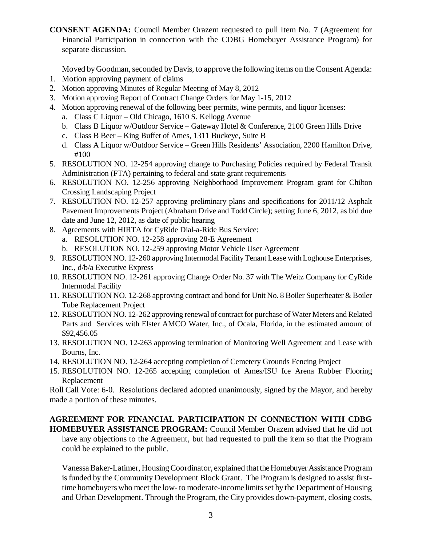**CONSENT AGENDA:** Council Member Orazem requested to pull Item No. 7 (Agreement for Financial Participation in connection with the CDBG Homebuyer Assistance Program) for separate discussion.

Moved by Goodman, seconded by Davis, to approve the following items on the Consent Agenda:

- 1. Motion approving payment of claims
- 2. Motion approving Minutes of Regular Meeting of May 8, 2012
- 3. Motion approving Report of Contract Change Orders for May 1-15, 2012
- 4. Motion approving renewal of the following beer permits, wine permits, and liquor licenses:
	- a. Class C Liquor Old Chicago, 1610 S. Kellogg Avenue
	- b. Class B Liquor w/Outdoor Service Gateway Hotel & Conference, 2100 Green Hills Drive
	- c. Class B Beer King Buffet of Ames, 1311 Buckeye, Suite B
	- d. Class A Liquor w/Outdoor Service Green Hills Residents' Association, 2200 Hamilton Drive, #100
- 5. RESOLUTION NO. 12-254 approving change to Purchasing Policies required by Federal Transit Administration (FTA) pertaining to federal and state grant requirements
- 6. RESOLUTION NO. 12-256 approving Neighborhood Improvement Program grant for Chilton Crossing Landscaping Project
- 7. RESOLUTION NO. 12-257 approving preliminary plans and specifications for 2011/12 Asphalt Pavement Improvements Project (Abraham Drive and Todd Circle); setting June 6, 2012, as bid due date and June 12, 2012, as date of public hearing
- 8. Agreements with HIRTA for CyRide Dial-a-Ride Bus Service:
	- a. RESOLUTION NO. 12-258 approving 28-E Agreement
	- b. RESOLUTION NO. 12-259 approving Motor Vehicle User Agreement
- 9. RESOLUTION NO. 12-260 approving Intermodal Facility Tenant Lease with Loghouse Enterprises, Inc., d/b/a Executive Express
- 10. RESOLUTION NO. 12-261 approving Change Order No. 37 with The Weitz Company for CyRide Intermodal Facility
- 11. RESOLUTION NO. 12-268 approving contract and bond for Unit No. 8 Boiler Superheater & Boiler Tube Replacement Project
- 12. RESOLUTION NO. 12-262 approving renewal of contract for purchase of Water Meters and Related Parts and Services with Elster AMCO Water, Inc., of Ocala, Florida, in the estimated amount of \$92,456.05
- 13. RESOLUTION NO. 12-263 approving termination of Monitoring Well Agreement and Lease with Bourns, Inc.
- 14. RESOLUTION NO. 12-264 accepting completion of Cemetery Grounds Fencing Project
- 15. RESOLUTION NO. 12-265 accepting completion of Ames/ISU Ice Arena Rubber Flooring Replacement

Roll Call Vote: 6-0. Resolutions declared adopted unanimously, signed by the Mayor, and hereby made a portion of these minutes.

# **AGREEMENT FOR FINANCIAL PARTICIPATION IN CONNECTION WITH CDBG**

**HOMEBUYER ASSISTANCE PROGRAM:** Council Member Orazem advised that he did not have any objections to the Agreement, but had requested to pull the item so that the Program could be explained to the public.

Vanessa Baker-Latimer, Housing Coordinator, explained that the Homebuyer Assistance Program is funded by the Community Development Block Grant. The Program is designed to assist firsttime homebuyers who meet the low- to moderate-income limits set by the Department of Housing and Urban Development. Through the Program, the City provides down-payment, closing costs,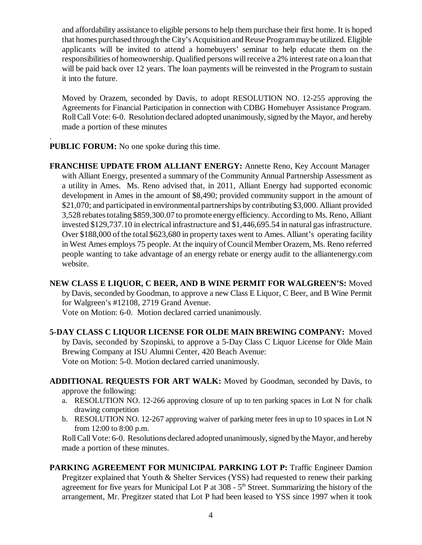and affordability assistance to eligible persons to help them purchase their first home. It is hoped that homes purchased through the City's Acquisition and Reuse Program may be utilized. Eligible applicants will be invited to attend a homebuyers' seminar to help educate them on the responsibilities of homeownership. Qualified persons will receive a 2% interest rate on a loan that will be paid back over 12 years. The loan payments will be reinvested in the Program to sustain it into the future.

Moved by Orazem, seconded by Davis, to adopt RESOLUTION NO. 12-255 approving the Agreements for Financial Participation in connection with CDBG Homebuyer Assistance Program. Roll Call Vote: 6-0. Resolution declared adopted unanimously, signed by the Mayor, and hereby made a portion of these minutes

**PUBLIC FORUM:** No one spoke during this time.

.

**FRANCHISE UPDATE FROM ALLIANT ENERGY:** Annette Reno, Key Account Manager with Alliant Energy, presented a summary of the Community Annual Partnership Assessment as a utility in Ames. Ms. Reno advised that, in 2011, Alliant Energy had supported economic development in Ames in the amount of \$8,490; provided community support in the amount of \$21,070; and participated in environmental partnerships by contributing \$3,000. Alliant provided 3,528 rebates totaling \$859,300.07 to promote energy efficiency. According to Ms. Reno, Alliant invested \$129,737.10 in electrical infrastructure and \$1,446,695.54 in natural gas infrastructure. Over \$188,000 of the total \$623,680 in property taxes went to Ames. Alliant's operating facility in West Ames employs 75 people. At the inquiry of Council Member Orazem, Ms. Reno referred people wanting to take advantage of an energy rebate or energy audit to the alliantenergy.com website.

**NEW CLASS E LIQUOR, C BEER, AND B WINE PERMIT FOR WALGREEN'S:** Moved by Davis, seconded by Goodman, to approve a new Class E Liquor, C Beer, and B Wine Permit for Walgreen's #12108, 2719 Grand Avenue. Vote on Motion: 6-0. Motion declared carried unanimously.

**5-DAY CLASS C LIQUOR LICENSE FOR OLDE MAIN BREWING COMPANY:** Moved by Davis, seconded by Szopinski, to approve a 5-Day Class C Liquor License for Olde Main Brewing Company at ISU Alumni Center, 420 Beach Avenue: Vote on Motion: 5-0. Motion declared carried unanimously.

**ADDITIONAL REQUESTS FOR ART WALK:** Moved by Goodman, seconded by Davis, to approve the following:

- a. RESOLUTION NO. 12-266 approving closure of up to ten parking spaces in Lot N for chalk drawing competition
- b. RESOLUTION NO. 12-267 approving waiver of parking meter fees in up to 10 spaces in Lot N from 12:00 to 8:00 p.m.

Roll Call Vote: 6-0. Resolutions declared adopted unanimously, signed by the Mayor, and hereby made a portion of these minutes.

**PARKING AGREEMENT FOR MUNICIPAL PARKING LOT P:** Traffic Engineer Damion Pregitzer explained that Youth & Shelter Services (YSS) had requested to renew their parking agreement for five years for Municipal Lot P at  $308 - 5<sup>th</sup>$  Street. Summarizing the history of the arrangement, Mr. Pregitzer stated that Lot P had been leased to YSS since 1997 when it took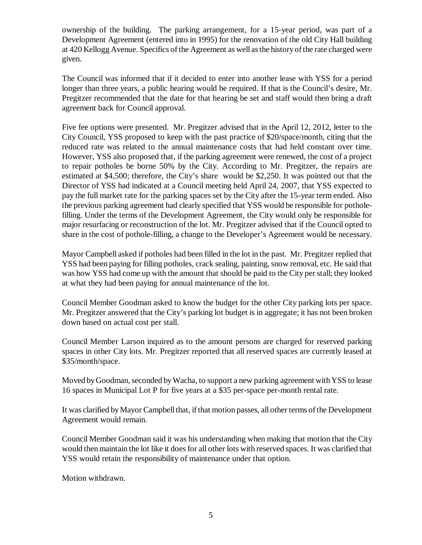ownership of the building. The parking arrangement, for a 15-year period, was part of a Development Agreement (entered into in 1995) for the renovation of the old City Hall building at 420 Kellogg Avenue. Specifics of the Agreement as well as the history of the rate charged were given.

The Council was informed that if it decided to enter into another lease with YSS for a period longer than three years, a public hearing would be required. If that is the Council's desire, Mr. Pregitzer recommended that the date for that hearing be set and staff would then bring a draft agreement back for Council approval.

Five fee options were presented. Mr. Pregitzer advised that in the April 12, 2012, letter to the City Council, YSS proposed to keep with the past practice of \$20/space/month, citing that the reduced rate was related to the annual maintenance costs that had held constant over time. However, YSS also proposed that, if the parking agreement were renewed, the cost of a project to repair potholes be borne 50% by the City. According to Mr. Pregitzer, the repairs are estimated at \$4,500; therefore, the City's share would be \$2,250. It was pointed out that the Director of YSS had indicated at a Council meeting held April 24, 2007, that YSS expected to pay the full market rate for the parking spaces set by the City after the 15-year term ended. Also the previous parking agreement had clearly specified that YSS would be responsible for potholefilling. Under the terms of the Development Agreement, the City would only be responsible for major resurfacing or reconstruction of the lot. Mr. Pregitzer advised that if the Council opted to share in the cost of pothole-filling, a change to the Developer's Agreement would be necessary.

Mayor Campbell asked if potholes had been filled in the lot in the past. Mr. Pregitzer replied that YSS had been paying for filling potholes, crack sealing, painting, snow removal, etc. He said that was how YSS had come up with the amount that should be paid to the City per stall; they looked at what they had been paying for annual maintenance of the lot.

Council Member Goodman asked to know the budget for the other City parking lots per space. Mr. Pregitzer answered that the City's parking lot budget is in aggregate; it has not been broken down based on actual cost per stall.

Council Member Larson inquired as to the amount persons are charged for reserved parking spaces in other City lots. Mr. Pregitzer reported that all reserved spaces are currently leased at \$35/month/space.

Moved by Goodman, seconded by Wacha, to support a new parking agreement with YSS to lease 16 spaces in Municipal Lot P for five years at a \$35 per-space per-month rental rate.

It was clarified by Mayor Campbell that, if that motion passes, all other terms of the Development Agreement would remain.

Council Member Goodman said it was his understanding when making that motion that the City would then maintain the lot like it does for all other lots with reserved spaces. It was clarified that YSS would retain the responsibility of maintenance under that option.

Motion withdrawn.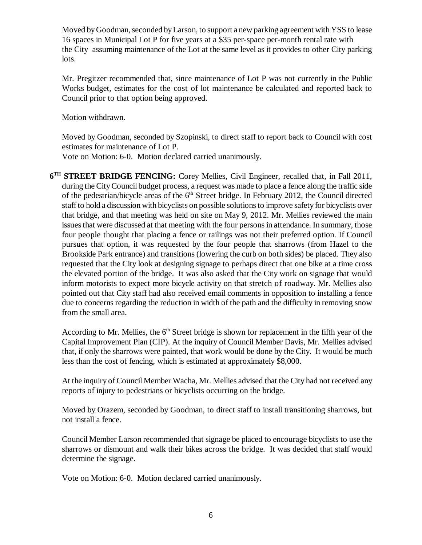Moved by Goodman, seconded by Larson, to support a new parking agreement with YSS to lease 16 spaces in Municipal Lot P for five years at a \$35 per-space per-month rental rate with the City assuming maintenance of the Lot at the same level as it provides to other City parking lots.

Mr. Pregitzer recommended that, since maintenance of Lot P was not currently in the Public Works budget, estimates for the cost of lot maintenance be calculated and reported back to Council prior to that option being approved.

Motion withdrawn.

Moved by Goodman, seconded by Szopinski, to direct staff to report back to Council with cost estimates for maintenance of Lot P.

Vote on Motion: 6-0. Motion declared carried unanimously.

**6 TH STREET BRIDGE FENCING:** Corey Mellies, Civil Engineer, recalled that, in Fall 2011, during the City Council budget process, a request was made to place a fence along the traffic side of the pedestrian/bicycle areas of the  $6<sup>th</sup>$  Street bridge. In February 2012, the Council directed staff to hold a discussion with bicyclists on possible solutions to improve safety for bicyclists over that bridge, and that meeting was held on site on May 9, 2012. Mr. Mellies reviewed the main issues that were discussed at that meeting with the four persons in attendance. In summary, those four people thought that placing a fence or railings was not their preferred option. If Council pursues that option, it was requested by the four people that sharrows (from Hazel to the Brookside Park entrance) and transitions (lowering the curb on both sides) be placed. They also requested that the City look at designing signage to perhaps direct that one bike at a time cross the elevated portion of the bridge. It was also asked that the City work on signage that would inform motorists to expect more bicycle activity on that stretch of roadway. Mr. Mellies also pointed out that City staff had also received email comments in opposition to installing a fence due to concerns regarding the reduction in width of the path and the difficulty in removing snow from the small area.

According to Mr. Mellies, the  $6<sup>th</sup>$  Street bridge is shown for replacement in the fifth year of the Capital Improvement Plan (CIP). At the inquiry of Council Member Davis, Mr. Mellies advised that, if only the sharrows were painted, that work would be done by the City. It would be much less than the cost of fencing, which is estimated at approximately \$8,000.

At the inquiry of Council Member Wacha, Mr. Mellies advised that the City had not received any reports of injury to pedestrians or bicyclists occurring on the bridge.

Moved by Orazem, seconded by Goodman, to direct staff to install transitioning sharrows, but not install a fence.

Council Member Larson recommended that signage be placed to encourage bicyclists to use the sharrows or dismount and walk their bikes across the bridge. It was decided that staff would determine the signage.

Vote on Motion: 6-0. Motion declared carried unanimously.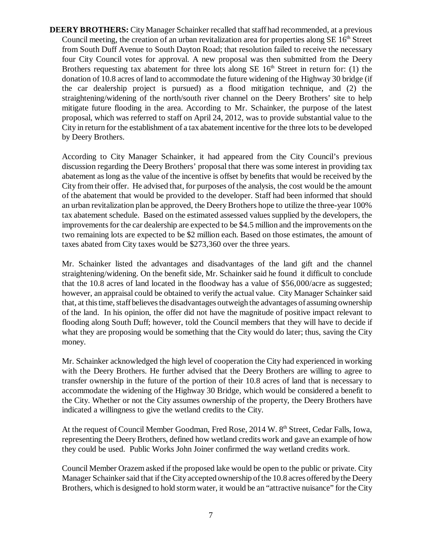**DEERY BROTHERS:** City Manager Schainker recalled that staff had recommended, at a previous Council meeting, the creation of an urban revitalization area for properties along  $SE 16<sup>th</sup>$  Street from South Duff Avenue to South Dayton Road; that resolution failed to receive the necessary four City Council votes for approval. A new proposal was then submitted from the Deery Brothers requesting tax abatement for three lots along SE  $16<sup>th</sup>$  Street in return for: (1) the donation of 10.8 acres of land to accommodate the future widening of the Highway 30 bridge (if the car dealership project is pursued) as a flood mitigation technique, and (2) the straightening/widening of the north/south river channel on the Deery Brothers' site to help mitigate future flooding in the area. According to Mr. Schainker, the purpose of the latest proposal, which was referred to staff on April 24, 2012, was to provide substantial value to the City in return for the establishment of a tax abatement incentive for the three lots to be developed by Deery Brothers.

According to City Manager Schainker, it had appeared from the City Council's previous discussion regarding the Deery Brothers' proposal that there was some interest in providing tax abatement as long as the value of the incentive is offset by benefits that would be received by the City from their offer. He advised that, for purposes of the analysis, the cost would be the amount of the abatement that would be provided to the developer. Staff had been informed that should an urban revitalization plan be approved, the Deery Brothers hope to utilize the three-year 100% tax abatement schedule. Based on the estimated assessed values supplied by the developers, the improvements for the car dealership are expected to be \$4.5 million and the improvements on the two remaining lots are expected to be \$2 million each. Based on those estimates, the amount of taxes abated from City taxes would be \$273,360 over the three years.

Mr. Schainker listed the advantages and disadvantages of the land gift and the channel straightening/widening. On the benefit side, Mr. Schainker said he found it difficult to conclude that the 10.8 acres of land located in the floodway has a value of \$56,000/acre as suggested; however, an appraisal could be obtained to verify the actual value. City Manager Schainker said that, at this time, staff believes the disadvantages outweigh the advantages of assuming ownership of the land. In his opinion, the offer did not have the magnitude of positive impact relevant to flooding along South Duff; however, told the Council members that they will have to decide if what they are proposing would be something that the City would do later; thus, saving the City money.

Mr. Schainker acknowledged the high level of cooperation the City had experienced in working with the Deery Brothers. He further advised that the Deery Brothers are willing to agree to transfer ownership in the future of the portion of their 10.8 acres of land that is necessary to accommodate the widening of the Highway 30 Bridge, which would be considered a benefit to the City. Whether or not the City assumes ownership of the property, the Deery Brothers have indicated a willingness to give the wetland credits to the City.

At the request of Council Member Goodman, Fred Rose, 2014 W. 8<sup>th</sup> Street, Cedar Falls, Iowa, representing the Deery Brothers, defined how wetland credits work and gave an example of how they could be used. Public Works John Joiner confirmed the way wetland credits work.

Council Member Orazem asked if the proposed lake would be open to the public or private. City Manager Schainker said that if the City accepted ownership of the 10.8 acres offered by the Deery Brothers, which is designed to hold storm water, it would be an "attractive nuisance" for the City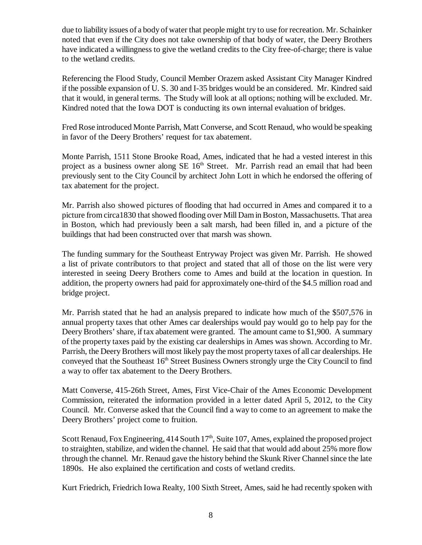due to liability issues of a body of water that people might try to use for recreation. Mr. Schainker noted that even if the City does not take ownership of that body of water, the Deery Brothers have indicated a willingness to give the wetland credits to the City free-of-charge; there is value to the wetland credits.

Referencing the Flood Study, Council Member Orazem asked Assistant City Manager Kindred if the possible expansion of U. S. 30 and I-35 bridges would be an considered. Mr. Kindred said that it would, in general terms. The Study will look at all options; nothing will be excluded. Mr. Kindred noted that the Iowa DOT is conducting its own internal evaluation of bridges.

Fred Rose introduced Monte Parrish, Matt Converse, and Scott Renaud, who would be speaking in favor of the Deery Brothers' request for tax abatement.

Monte Parrish, 1511 Stone Brooke Road, Ames, indicated that he had a vested interest in this project as a business owner along  $SE 16<sup>th</sup>$  Street. Mr. Parrish read an email that had been previously sent to the City Council by architect John Lott in which he endorsed the offering of tax abatement for the project.

Mr. Parrish also showed pictures of flooding that had occurred in Ames and compared it to a picture from circa1830 that showed flooding over Mill Dam in Boston, Massachusetts. That area in Boston, which had previously been a salt marsh, had been filled in, and a picture of the buildings that had been constructed over that marsh was shown.

The funding summary for the Southeast Entryway Project was given Mr. Parrish. He showed a list of private contributors to that project and stated that all of those on the list were very interested in seeing Deery Brothers come to Ames and build at the location in question. In addition, the property owners had paid for approximately one-third of the \$4.5 million road and bridge project.

Mr. Parrish stated that he had an analysis prepared to indicate how much of the \$507,576 in annual property taxes that other Ames car dealerships would pay would go to help pay for the Deery Brothers' share, if tax abatement were granted. The amount came to \$1,900. A summary of the property taxes paid by the existing car dealerships in Ames was shown. According to Mr. Parrish, the Deery Brothers will most likely pay the most property taxes of all car dealerships. He conveyed that the Southeast  $16<sup>th</sup>$  Street Business Owners strongly urge the City Council to find a way to offer tax abatement to the Deery Brothers.

Matt Converse, 415-26th Street, Ames, First Vice-Chair of the Ames Economic Development Commission, reiterated the information provided in a letter dated April 5, 2012, to the City Council. Mr. Converse asked that the Council find a way to come to an agreement to make the Deery Brothers' project come to fruition.

Scott Renaud, Fox Engineering,  $414$  South  $17<sup>th</sup>$ , Suite 107, Ames, explained the proposed project to straighten, stabilize, and widen the channel. He said that that would add about 25% more flow through the channel. Mr. Renaud gave the history behind the Skunk River Channel since the late 1890s. He also explained the certification and costs of wetland credits.

Kurt Friedrich, Friedrich Iowa Realty, 100 Sixth Street, Ames, said he had recently spoken with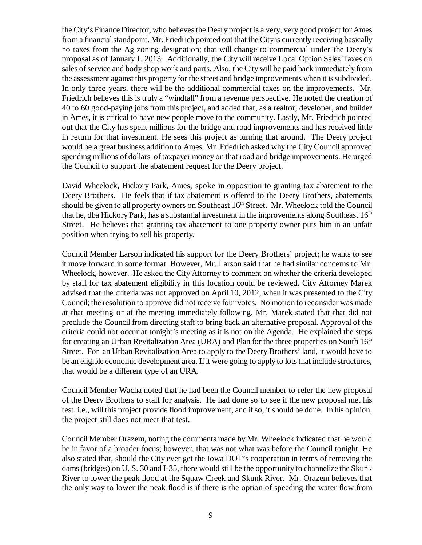the City's Finance Director, who believes the Deery project is a very, very good project for Ames from a financial standpoint. Mr. Friedrich pointed out that the City is currently receiving basically no taxes from the Ag zoning designation; that will change to commercial under the Deery's proposal as of January 1, 2013. Additionally, the City will receive Local Option Sales Taxes on sales of service and body shop work and parts. Also, the City will be paid back immediately from the assessment against this property for the street and bridge improvements when it is subdivided. In only three years, there will be the additional commercial taxes on the improvements. Mr. Friedrich believes this is truly a "windfall" from a revenue perspective. He noted the creation of 40 to 60 good-paying jobs from this project, and added that, as a realtor, developer, and builder in Ames, it is critical to have new people move to the community. Lastly, Mr. Friedrich pointed out that the City has spent millions for the bridge and road improvements and has received little in return for that investment. He sees this project as turning that around. The Deery project would be a great business addition to Ames. Mr. Friedrich asked why the City Council approved spending millions of dollars of taxpayer money on that road and bridge improvements. He urged the Council to support the abatement request for the Deery project.

David Wheelock, Hickory Park, Ames, spoke in opposition to granting tax abatement to the Deery Brothers. He feels that if tax abatement is offered to the Deery Brothers, abatements should be given to all property owners on Southeast  $16<sup>th</sup>$  Street. Mr. Wheelock told the Council that he, dba Hickory Park, has a substantial investment in the improvements along Southeast  $16<sup>th</sup>$ Street. He believes that granting tax abatement to one property owner puts him in an unfair position when trying to sell his property.

Council Member Larson indicated his support for the Deery Brothers' project; he wants to see it move forward in some format. However, Mr. Larson said that he had similar concerns to Mr. Wheelock, however. He asked the City Attorney to comment on whether the criteria developed by staff for tax abatement eligibility in this location could be reviewed. City Attorney Marek advised that the criteria was not approved on April 10, 2012, when it was presented to the City Council; the resolution to approve did not receive four votes. No motion to reconsider was made at that meeting or at the meeting immediately following. Mr. Marek stated that that did not preclude the Council from directing staff to bring back an alternative proposal. Approval of the criteria could not occur at tonight's meeting as it is not on the Agenda. He explained the steps for creating an Urban Revitalization Area (URA) and Plan for the three properties on South  $16<sup>th</sup>$ Street. For an Urban Revitalization Area to apply to the Deery Brothers' land, it would have to be an eligible economic development area. If it were going to apply to lots that include structures, that would be a different type of an URA.

Council Member Wacha noted that he had been the Council member to refer the new proposal of the Deery Brothers to staff for analysis. He had done so to see if the new proposal met his test, i.e., will this project provide flood improvement, and if so, it should be done. In his opinion, the project still does not meet that test.

Council Member Orazem, noting the comments made by Mr. Wheelock indicated that he would be in favor of a broader focus; however, that was not what was before the Council tonight. He also stated that, should the City ever get the Iowa DOT's cooperation in terms of removing the dams (bridges) on U. S. 30 and I-35, there would still be the opportunity to channelize the Skunk River to lower the peak flood at the Squaw Creek and Skunk River. Mr. Orazem believes that the only way to lower the peak flood is if there is the option of speeding the water flow from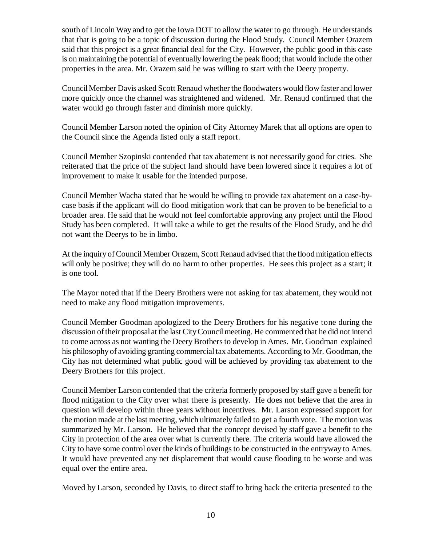south of Lincoln Way and to get the Iowa DOT to allow the water to go through. He understands that that is going to be a topic of discussion during the Flood Study. Council Member Orazem said that this project is a great financial deal for the City. However, the public good in this case is on maintaining the potential of eventually lowering the peak flood; that would include the other properties in the area. Mr. Orazem said he was willing to start with the Deery property.

Council Member Davis asked Scott Renaud whether the floodwaters would flow faster and lower more quickly once the channel was straightened and widened. Mr. Renaud confirmed that the water would go through faster and diminish more quickly.

Council Member Larson noted the opinion of City Attorney Marek that all options are open to the Council since the Agenda listed only a staff report.

Council Member Szopinski contended that tax abatement is not necessarily good for cities. She reiterated that the price of the subject land should have been lowered since it requires a lot of improvement to make it usable for the intended purpose.

Council Member Wacha stated that he would be willing to provide tax abatement on a case-bycase basis if the applicant will do flood mitigation work that can be proven to be beneficial to a broader area. He said that he would not feel comfortable approving any project until the Flood Study has been completed. It will take a while to get the results of the Flood Study, and he did not want the Deerys to be in limbo.

At the inquiry of Council Member Orazem, Scott Renaud advised that the flood mitigation effects will only be positive; they will do no harm to other properties. He sees this project as a start; it is one tool.

The Mayor noted that if the Deery Brothers were not asking for tax abatement, they would not need to make any flood mitigation improvements.

Council Member Goodman apologized to the Deery Brothers for his negative tone during the discussion of their proposal at the last City Council meeting. He commented that he did not intend to come across as not wanting the Deery Brothers to develop in Ames. Mr. Goodman explained his philosophy of avoiding granting commercial tax abatements. According to Mr. Goodman, the City has not determined what public good will be achieved by providing tax abatement to the Deery Brothers for this project.

Council Member Larson contended that the criteria formerly proposed by staff gave a benefit for flood mitigation to the City over what there is presently. He does not believe that the area in question will develop within three years without incentives. Mr. Larson expressed support for the motion made at the last meeting, which ultimately failed to get a fourth vote. The motion was summarized by Mr. Larson. He believed that the concept devised by staff gave a benefit to the City in protection of the area over what is currently there. The criteria would have allowed the City to have some control over the kinds of buildings to be constructed in the entryway to Ames. It would have prevented any net displacement that would cause flooding to be worse and was equal over the entire area.

Moved by Larson, seconded by Davis, to direct staff to bring back the criteria presented to the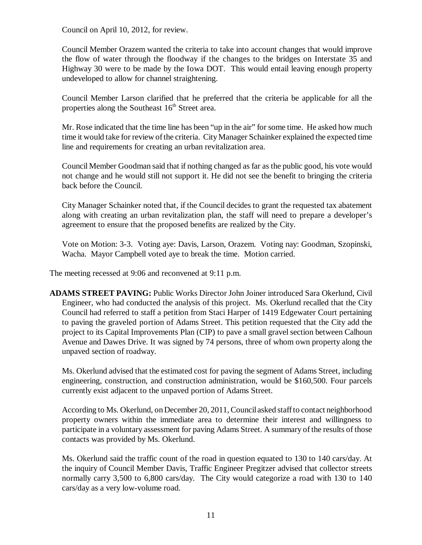Council on April 10, 2012, for review.

Council Member Orazem wanted the criteria to take into account changes that would improve the flow of water through the floodway if the changes to the bridges on Interstate 35 and Highway 30 were to be made by the Iowa DOT. This would entail leaving enough property undeveloped to allow for channel straightening.

Council Member Larson clarified that he preferred that the criteria be applicable for all the properties along the Southeast  $16<sup>th</sup>$  Street area.

Mr. Rose indicated that the time line has been "up in the air" for some time. He asked how much time it would take for review of the criteria. City Manager Schainker explained the expected time line and requirements for creating an urban revitalization area.

Council Member Goodman said that if nothing changed as far as the public good, his vote would not change and he would still not support it. He did not see the benefit to bringing the criteria back before the Council.

City Manager Schainker noted that, if the Council decides to grant the requested tax abatement along with creating an urban revitalization plan, the staff will need to prepare a developer's agreement to ensure that the proposed benefits are realized by the City.

Vote on Motion: 3-3. Voting aye: Davis, Larson, Orazem. Voting nay: Goodman, Szopinski, Wacha. Mayor Campbell voted aye to break the time. Motion carried.

The meeting recessed at 9:06 and reconvened at 9:11 p.m.

**ADAMS STREET PAVING:** Public Works Director John Joiner introduced Sara Okerlund, Civil Engineer, who had conducted the analysis of this project. Ms. Okerlund recalled that the City Council had referred to staff a petition from Staci Harper of 1419 Edgewater Court pertaining to paving the graveled portion of Adams Street. This petition requested that the City add the project to its Capital Improvements Plan (CIP) to pave a small gravel section between Calhoun Avenue and Dawes Drive. It was signed by 74 persons, three of whom own property along the unpaved section of roadway.

Ms. Okerlund advised that the estimated cost for paving the segment of Adams Street, including engineering, construction, and construction administration, would be \$160,500. Four parcels currently exist adjacent to the unpaved portion of Adams Street.

According to Ms. Okerlund, on December 20, 2011, Council asked staff to contact neighborhood property owners within the immediate area to determine their interest and willingness to participate in a voluntary assessment for paving Adams Street. A summary of the results of those contacts was provided by Ms. Okerlund.

Ms. Okerlund said the traffic count of the road in question equated to 130 to 140 cars/day. At the inquiry of Council Member Davis, Traffic Engineer Pregitzer advised that collector streets normally carry 3,500 to 6,800 cars/day. The City would categorize a road with 130 to 140 cars/day as a very low-volume road.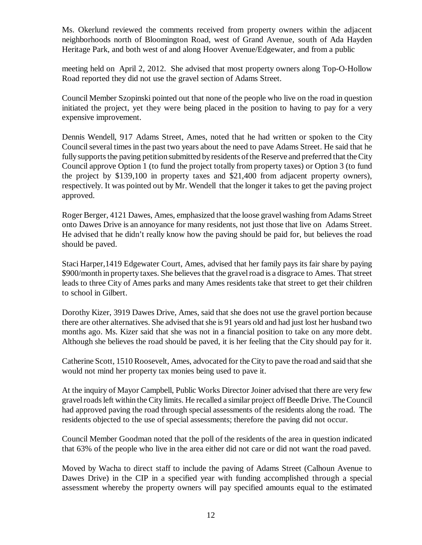Ms. Okerlund reviewed the comments received from property owners within the adjacent neighborhoods north of Bloomington Road, west of Grand Avenue, south of Ada Hayden Heritage Park, and both west of and along Hoover Avenue/Edgewater, and from a public

meeting held on April 2, 2012. She advised that most property owners along Top-O-Hollow Road reported they did not use the gravel section of Adams Street.

Council Member Szopinski pointed out that none of the people who live on the road in question initiated the project, yet they were being placed in the position to having to pay for a very expensive improvement.

Dennis Wendell, 917 Adams Street, Ames, noted that he had written or spoken to the City Council several times in the past two years about the need to pave Adams Street. He said that he fully supports the paving petition submitted by residents of the Reserve and preferred that the City Council approve Option 1 (to fund the project totally from property taxes) or Option 3 (to fund the project by \$139,100 in property taxes and \$21,400 from adjacent property owners), respectively. It was pointed out by Mr. Wendell that the longer it takes to get the paving project approved.

Roger Berger, 4121 Dawes, Ames, emphasized that the loose gravel washing from Adams Street onto Dawes Drive is an annoyance for many residents, not just those that live on Adams Street. He advised that he didn't really know how the paving should be paid for, but believes the road should be paved.

Staci Harper,1419 Edgewater Court, Ames, advised that her family pays its fair share by paying \$900/month in property taxes. She believes that the gravel road is a disgrace to Ames. That street leads to three City of Ames parks and many Ames residents take that street to get their children to school in Gilbert.

Dorothy Kizer, 3919 Dawes Drive, Ames, said that she does not use the gravel portion because there are other alternatives. She advised that she is 91 years old and had just lost her husband two months ago. Ms. Kizer said that she was not in a financial position to take on any more debt. Although she believes the road should be paved, it is her feeling that the City should pay for it.

Catherine Scott, 1510 Roosevelt, Ames, advocated for the City to pave the road and said that she would not mind her property tax monies being used to pave it.

At the inquiry of Mayor Campbell, Public Works Director Joiner advised that there are very few gravel roads left within the City limits. He recalled a similar project off Beedle Drive. The Council had approved paving the road through special assessments of the residents along the road. The residents objected to the use of special assessments; therefore the paving did not occur.

Council Member Goodman noted that the poll of the residents of the area in question indicated that 63% of the people who live in the area either did not care or did not want the road paved.

Moved by Wacha to direct staff to include the paving of Adams Street (Calhoun Avenue to Dawes Drive) in the CIP in a specified year with funding accomplished through a special assessment whereby the property owners will pay specified amounts equal to the estimated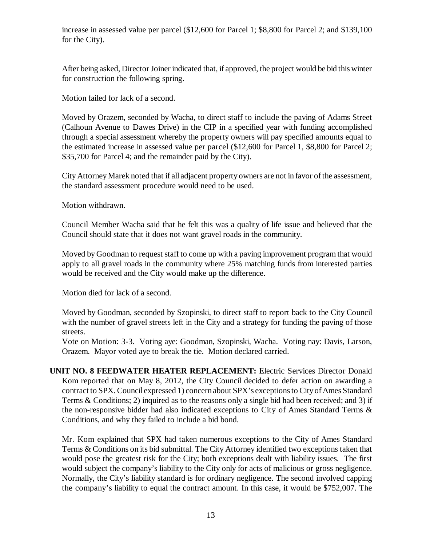increase in assessed value per parcel (\$12,600 for Parcel 1; \$8,800 for Parcel 2; and \$139,100 for the City).

After being asked, Director Joiner indicated that, if approved, the project would be bid this winter for construction the following spring.

Motion failed for lack of a second.

Moved by Orazem, seconded by Wacha, to direct staff to include the paving of Adams Street (Calhoun Avenue to Dawes Drive) in the CIP in a specified year with funding accomplished through a special assessment whereby the property owners will pay specified amounts equal to the estimated increase in assessed value per parcel (\$12,600 for Parcel 1, \$8,800 for Parcel 2; \$35,700 for Parcel 4; and the remainder paid by the City).

City Attorney Marek noted that if all adjacent property owners are not in favor of the assessment, the standard assessment procedure would need to be used.

Motion withdrawn.

Council Member Wacha said that he felt this was a quality of life issue and believed that the Council should state that it does not want gravel roads in the community.

Moved by Goodman to request staff to come up with a paving improvement program that would apply to all gravel roads in the community where 25% matching funds from interested parties would be received and the City would make up the difference.

Motion died for lack of a second.

Moved by Goodman, seconded by Szopinski, to direct staff to report back to the City Council with the number of gravel streets left in the City and a strategy for funding the paving of those streets.

Vote on Motion: 3-3. Voting aye: Goodman, Szopinski, Wacha. Voting nay: Davis, Larson, Orazem. Mayor voted aye to break the tie. Motion declared carried.

**UNIT NO. 8 FEEDWATER HEATER REPLACEMENT:** Electric Services Director Donald Kom reported that on May 8, 2012, the City Council decided to defer action on awarding a contract to SPX. Council expressed 1) concern about SPX's exceptions to City of Ames Standard Terms & Conditions; 2) inquired as to the reasons only a single bid had been received; and 3) if the non-responsive bidder had also indicated exceptions to City of Ames Standard Terms & Conditions, and why they failed to include a bid bond.

Mr. Kom explained that SPX had taken numerous exceptions to the City of Ames Standard Terms & Conditions on its bid submittal. The City Attorney identified two exceptions taken that would pose the greatest risk for the City; both exceptions dealt with liability issues. The first would subject the company's liability to the City only for acts of malicious or gross negligence. Normally, the City's liability standard is for ordinary negligence. The second involved capping the company's liability to equal the contract amount. In this case, it would be \$752,007. The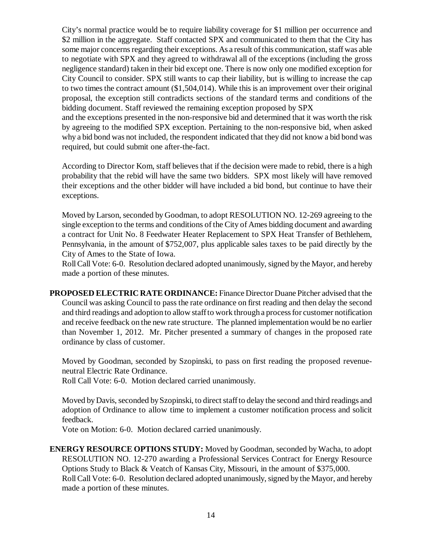City's normal practice would be to require liability coverage for \$1 million per occurrence and \$2 million in the aggregate. Staff contacted SPX and communicated to them that the City has some major concerns regarding their exceptions. As a result of this communication, staff was able to negotiate with SPX and they agreed to withdrawal all of the exceptions (including the gross negligence standard) taken in their bid except one. There is now only one modified exception for City Council to consider. SPX still wants to cap their liability, but is willing to increase the cap to two times the contract amount (\$1,504,014). While this is an improvement over their original proposal, the exception still contradicts sections of the standard terms and conditions of the bidding document. Staff reviewed the remaining exception proposed by SPX and the exceptions presented in the non-responsive bid and determined that it was worth the risk

by agreeing to the modified SPX exception. Pertaining to the non-responsive bid, when asked why a bid bond was not included, the respondent indicated that they did not know a bid bond was required, but could submit one after-the-fact.

According to Director Kom, staff believes that if the decision were made to rebid, there is a high probability that the rebid will have the same two bidders. SPX most likely will have removed their exceptions and the other bidder will have included a bid bond, but continue to have their exceptions.

Moved by Larson, seconded by Goodman, to adopt RESOLUTION NO. 12-269 agreeing to the single exception to the terms and conditions of the City of Ames bidding document and awarding a contract for Unit No. 8 Feedwater Heater Replacement to SPX Heat Transfer of Bethlehem, Pennsylvania, in the amount of \$752,007, plus applicable sales taxes to be paid directly by the City of Ames to the State of Iowa.

Roll Call Vote: 6-0. Resolution declared adopted unanimously, signed by the Mayor, and hereby made a portion of these minutes.

**PROPOSED ELECTRIC RATE ORDINANCE:** Finance Director Duane Pitcher advised that the Council was asking Council to pass the rate ordinance on first reading and then delay the second and third readings and adoption to allow staff to work through a process for customer notification and receive feedback on the new rate structure. The planned implementation would be no earlier than November 1, 2012. Mr. Pitcher presented a summary of changes in the proposed rate ordinance by class of customer.

Moved by Goodman, seconded by Szopinski, to pass on first reading the proposed revenueneutral Electric Rate Ordinance.

Roll Call Vote: 6-0. Motion declared carried unanimously.

Moved by Davis, seconded by Szopinski, to direct staff to delay the second and third readings and adoption of Ordinance to allow time to implement a customer notification process and solicit feedback.

Vote on Motion: 6-0. Motion declared carried unanimously.

**ENERGY RESOURCE OPTIONS STUDY:** Moved by Goodman, seconded by Wacha, to adopt RESOLUTION NO. 12-270 awarding a Professional Services Contract for Energy Resource Options Study to Black & Veatch of Kansas City, Missouri, in the amount of \$375,000. Roll Call Vote: 6-0. Resolution declared adopted unanimously, signed by the Mayor, and hereby made a portion of these minutes.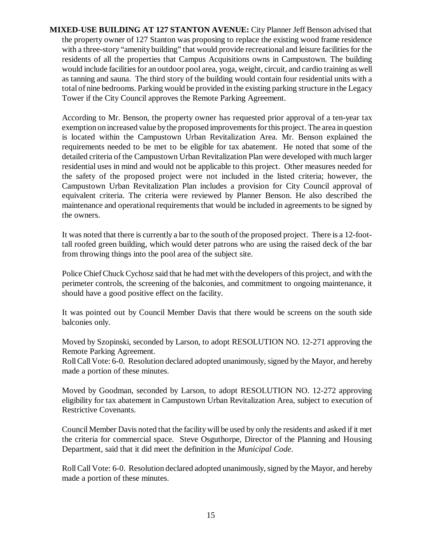**MIXED-USE BUILDING AT 127 STANTON AVENUE:** City Planner Jeff Benson advised that the property owner of 127 Stanton was proposing to replace the existing wood frame residence with a three-story "amenity building" that would provide recreational and leisure facilities for the residents of all the properties that Campus Acquisitions owns in Campustown. The building would include facilities for an outdoor pool area, yoga, weight, circuit, and cardio training as well as tanning and sauna. The third story of the building would contain four residential units with a total of nine bedrooms. Parking would be provided in the existing parking structure in the Legacy Tower if the City Council approves the Remote Parking Agreement.

According to Mr. Benson, the property owner has requested prior approval of a ten-year tax exemption on increased value by the proposed improvements for this project. The area in question is located within the Campustown Urban Revitalization Area. Mr. Benson explained the requirements needed to be met to be eligible for tax abatement. He noted that some of the detailed criteria of the Campustown Urban Revitalization Plan were developed with much larger residential uses in mind and would not be applicable to this project. Other measures needed for the safety of the proposed project were not included in the listed criteria; however, the Campustown Urban Revitalization Plan includes a provision for City Council approval of equivalent criteria. The criteria were reviewed by Planner Benson. He also described the maintenance and operational requirements that would be included in agreements to be signed by the owners.

It was noted that there is currently a bar to the south of the proposed project. There is a 12-foottall roofed green building, which would deter patrons who are using the raised deck of the bar from throwing things into the pool area of the subject site.

Police Chief Chuck Cychosz said that he had met with the developers of this project, and with the perimeter controls, the screening of the balconies, and commitment to ongoing maintenance, it should have a good positive effect on the facility.

It was pointed out by Council Member Davis that there would be screens on the south side balconies only.

Moved by Szopinski, seconded by Larson, to adopt RESOLUTION NO. 12-271 approving the Remote Parking Agreement.

Roll Call Vote: 6-0. Resolution declared adopted unanimously, signed by the Mayor, and hereby made a portion of these minutes.

Moved by Goodman, seconded by Larson, to adopt RESOLUTION NO. 12-272 approving eligibility for tax abatement in Campustown Urban Revitalization Area, subject to execution of Restrictive Covenants.

Council Member Davis noted that the facility will be used by only the residents and asked if it met the criteria for commercial space. Steve Osguthorpe, Director of the Planning and Housing Department, said that it did meet the definition in the *Municipal Code*.

Roll Call Vote: 6-0. Resolution declared adopted unanimously, signed by the Mayor, and hereby made a portion of these minutes.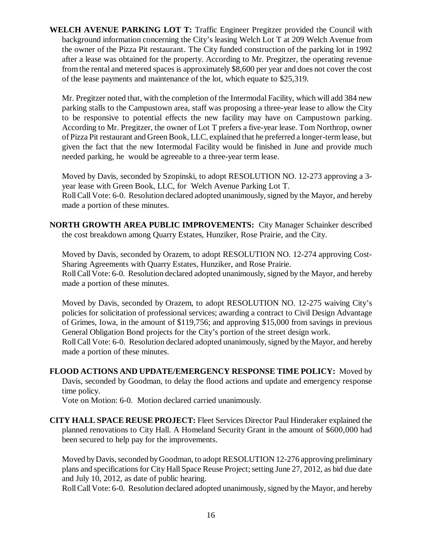**WELCH AVENUE PARKING LOT T:** Traffic Engineer Pregitzer provided the Council with background information concerning the City's leasing Welch Lot T at 209 Welch Avenue from the owner of the Pizza Pit restaurant. The City funded construction of the parking lot in 1992 after a lease was obtained for the property. According to Mr. Pregitzer, the operating revenue from the rental and metered spaces is approximately \$8,600 per year and does not cover the cost of the lease payments and maintenance of the lot, which equate to \$25,319.

Mr. Pregitzer noted that, with the completion of the Intermodal Facility, which will add 384 new parking stalls to the Campustown area, staff was proposing a three-year lease to allow the City to be responsive to potential effects the new facility may have on Campustown parking. According to Mr. Pregitzer, the owner of Lot T prefers a five-year lease. Tom Northrop, owner of Pizza Pit restaurant and Green Book, LLC, explained that he preferred a longer-term lease, but given the fact that the new Intermodal Facility would be finished in June and provide much needed parking, he would be agreeable to a three-year term lease.

Moved by Davis, seconded by Szopinski, to adopt RESOLUTION NO. 12-273 approving a 3 year lease with Green Book, LLC, for Welch Avenue Parking Lot T. Roll Call Vote: 6-0. Resolution declared adopted unanimously, signed by the Mayor, and hereby

**NORTH GROWTH AREA PUBLIC IMPROVEMENTS:** City Manager Schainker described the cost breakdown among Quarry Estates, Hunziker, Rose Prairie, and the City.

Moved by Davis, seconded by Orazem, to adopt RESOLUTION NO. 12-274 approving Cost-Sharing Agreements with Quarry Estates, Hunziker, and Rose Prairie. Roll Call Vote: 6-0. Resolution declared adopted unanimously, signed by the Mayor, and hereby made a portion of these minutes.

Moved by Davis, seconded by Orazem, to adopt RESOLUTION NO. 12-275 waiving City's policies for solicitation of professional services; awarding a contract to Civil Design Advantage of Grimes, Iowa, in the amount of \$119,756; and approving \$15,000 from savings in previous General Obligation Bond projects for the City's portion of the street design work.

Roll Call Vote: 6-0. Resolution declared adopted unanimously, signed by the Mayor, and hereby made a portion of these minutes.

**FLOOD ACTIONS AND UPDATE/EMERGENCY RESPONSE TIME POLICY:** Moved by Davis, seconded by Goodman, to delay the flood actions and update and emergency response time policy.

Vote on Motion: 6-0. Motion declared carried unanimously.

made a portion of these minutes.

**CITY HALL SPACE REUSE PROJECT:** Fleet Services Director Paul Hinderaker explained the planned renovations to City Hall. A Homeland Security Grant in the amount of \$600,000 had been secured to help pay for the improvements.

Moved by Davis, seconded by Goodman, to adopt RESOLUTION 12-276 approving preliminary plans and specifications for City Hall Space Reuse Project; setting June 27, 2012, as bid due date and July 10, 2012, as date of public hearing.

Roll Call Vote: 6-0. Resolution declared adopted unanimously, signed by the Mayor, and hereby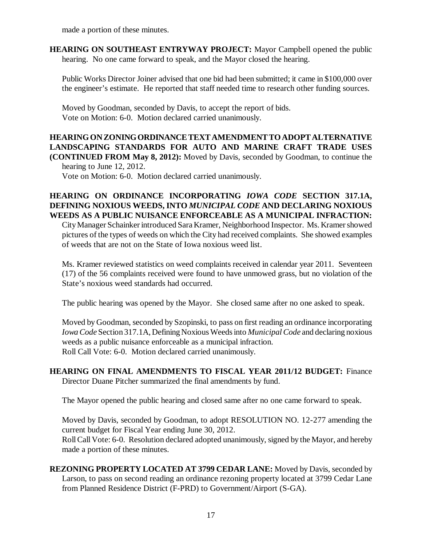made a portion of these minutes.

**HEARING ON SOUTHEAST ENTRYWAY PROJECT:** Mayor Campbell opened the public hearing. No one came forward to speak, and the Mayor closed the hearing.

Public Works Director Joiner advised that one bid had been submitted; it came in \$100,000 over the engineer's estimate. He reported that staff needed time to research other funding sources.

Moved by Goodman, seconded by Davis, to accept the report of bids. Vote on Motion: 6-0. Motion declared carried unanimously.

**HEARING ON ZONING ORDINANCE TEXT AMENDMENT TO ADOPT ALTERNATIVE LANDSCAPING STANDARDS FOR AUTO AND MARINE CRAFT TRADE USES (CONTINUED FROM May 8, 2012):** Moved by Davis, seconded by Goodman, to continue the hearing to June 12, 2012.

Vote on Motion: 6-0. Motion declared carried unanimously.

## **HEARING ON ORDINANCE INCORPORATING** *IOWA CODE* **SECTION 317.1A, DEFINING NOXIOUS WEEDS, INTO** *MUNICIPAL CODE* **AND DECLARING NOXIOUS WEEDS AS A PUBLIC NUISANCE ENFORCEABLE AS A MUNICIPAL INFRACTION:**

City Manager Schainker introduced Sara Kramer, Neighborhood Inspector. Ms. Kramer showed pictures of the types of weeds on which the City had received complaints. She showed examples of weeds that are not on the State of Iowa noxious weed list.

Ms. Kramer reviewed statistics on weed complaints received in calendar year 2011. Seventeen (17) of the 56 complaints received were found to have unmowed grass, but no violation of the State's noxious weed standards had occurred.

The public hearing was opened by the Mayor. She closed same after no one asked to speak.

Moved by Goodman, seconded by Szopinski, to pass on first reading an ordinance incorporating *Iowa Code* Section 317.1A, Defining Noxious Weeds into *Municipal Code* and declaring noxious weeds as a public nuisance enforceable as a municipal infraction. Roll Call Vote: 6-0. Motion declared carried unanimously.

**HEARING ON FINAL AMENDMENTS TO FISCAL YEAR 2011/12 BUDGET:** Finance Director Duane Pitcher summarized the final amendments by fund.

The Mayor opened the public hearing and closed same after no one came forward to speak.

Moved by Davis, seconded by Goodman, to adopt RESOLUTION NO. 12-277 amending the current budget for Fiscal Year ending June 30, 2012.

Roll Call Vote: 6-0. Resolution declared adopted unanimously, signed by the Mayor, and hereby made a portion of these minutes.

**REZONING PROPERTY LOCATED AT 3799 CEDAR LANE:** Moved by Davis, seconded by Larson, to pass on second reading an ordinance rezoning property located at 3799 Cedar Lane from Planned Residence District (F-PRD) to Government/Airport (S-GA).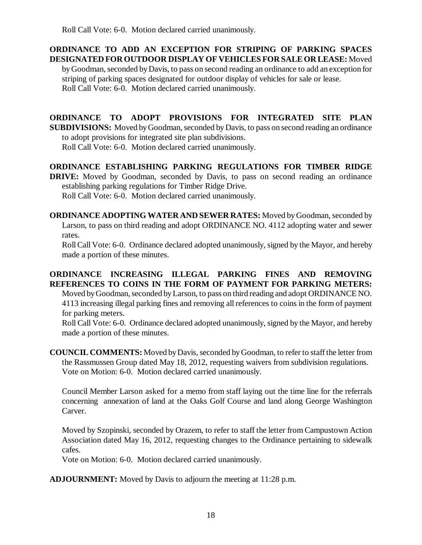Roll Call Vote: 6-0. Motion declared carried unanimously.

**ORDINANCE TO ADD AN EXCEPTION FOR STRIPING OF PARKING SPACES DESIGNATED FOR OUTDOOR DISPLAY OF VEHICLES FOR SALE OR LEASE:** Moved

by Goodman, seconded by Davis, to pass on second reading an ordinance to add an exception for striping of parking spaces designated for outdoor display of vehicles for sale or lease. Roll Call Vote: 6-0. Motion declared carried unanimously.

**ORDINANCE TO ADOPT PROVISIONS FOR INTEGRATED SITE PLAN SUBDIVISIONS:** Moved by Goodman, seconded by Davis, to pass on second reading an ordinance to adopt provisions for integrated site plan subdivisions.

Roll Call Vote: 6-0. Motion declared carried unanimously.

**ORDINANCE ESTABLISHING PARKING REGULATIONS FOR TIMBER RIDGE**

**DRIVE:** Moved by Goodman, seconded by Davis, to pass on second reading an ordinance establishing parking regulations for Timber Ridge Drive.

Roll Call Vote: 6-0. Motion declared carried unanimously.

**ORDINANCE ADOPTING WATER AND SEWER RATES:** Moved by Goodman, seconded by Larson, to pass on third reading and adopt ORDINANCE NO. 4112 adopting water and sewer rates.

Roll Call Vote: 6-0. Ordinance declared adopted unanimously, signed by the Mayor, and hereby made a portion of these minutes.

# **ORDINANCE INCREASING ILLEGAL PARKING FINES AND REMOVING REFERENCES TO COINS IN THE FORM OF PAYMENT FOR PARKING METERS:**

Moved by Goodman, seconded by Larson, to pass on third reading and adopt ORDINANCE NO. 4113 increasing illegal parking fines and removing all references to coins in the form of payment for parking meters.

Roll Call Vote: 6-0. Ordinance declared adopted unanimously, signed by the Mayor, and hereby made a portion of these minutes.

**COUNCIL COMMENTS:** Moved by Davis, seconded by Goodman, to refer to staff the letter from the Rassmussen Group dated May 18, 2012, requesting waivers from subdivision regulations. Vote on Motion: 6-0. Motion declared carried unanimously.

Council Member Larson asked for a memo from staff laying out the time line for the referrals concerning annexation of land at the Oaks Golf Course and land along George Washington Carver.

Moved by Szopinski, seconded by Orazem, to refer to staff the letter from Campustown Action Association dated May 16, 2012, requesting changes to the Ordinance pertaining to sidewalk cafes.

Vote on Motion: 6-0. Motion declared carried unanimously.

**ADJOURNMENT:** Moved by Davis to adjourn the meeting at 11:28 p.m.